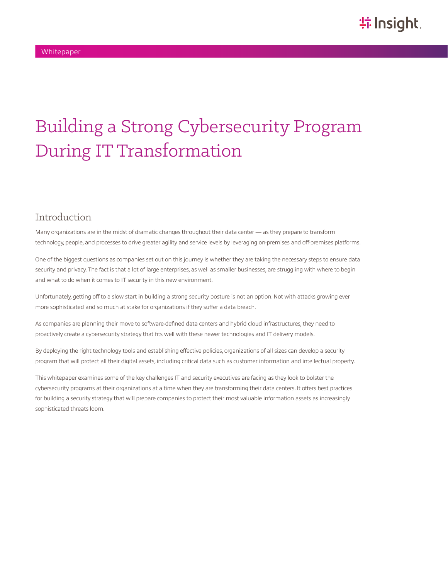# Building a Strong Cybersecurity Program During IT Transformation

### Introduction

Many organizations are in the midst of dramatic changes throughout their data center — as they prepare to transform technology, people, and processes to drive greater agility and service levels by leveraging on-premises and off-premises platforms.

One of the biggest questions as companies set out on this journey is whether they are taking the necessary steps to ensure data security and privacy. The fact is that a lot of large enterprises, as well as smaller businesses, are struggling with where to begin and what to do when it comes to IT security in this new environment.

Unfortunately, getting off to a slow start in building a strong security posture is not an option. Not with attacks growing ever more sophisticated and so much at stake for organizations if they suffer a data breach.

As companies are planning their move to software-defined data centers and hybrid cloud infrastructures, they need to proactively create a cybersecurity strategy that fits well with these newer technologies and IT delivery models.

By deploying the right technology tools and establishing effective policies, organizations of all sizes can develop a security program that will protect all their digital assets, including critical data such as customer information and intellectual property.

This whitepaper examines some of the key challenges IT and security executives are facing as they look to bolster the cybersecurity programs at their organizations at a time when they are transforming their data centers. It offers best practices for building a security strategy that will prepare companies to protect their most valuable information assets as increasingly sophisticated threats loom.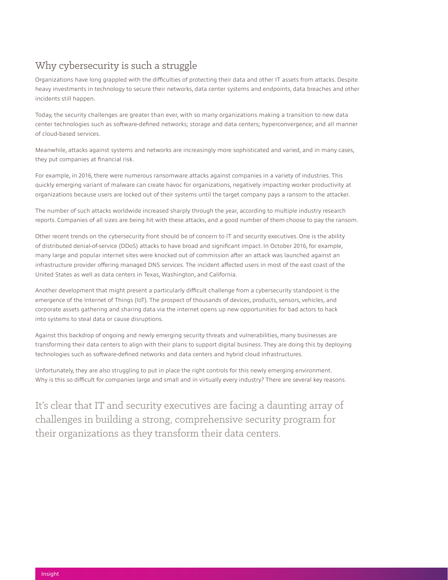## Why cybersecurity is such a struggle

Organizations have long grappled with the difficulties of protecting their data and other IT assets from attacks. Despite heavy investments in technology to secure their networks, data center systems and endpoints, data breaches and other incidents still happen.

Today, the security challenges are greater than ever, with so many organizations making a transition to new data center technologies such as software-defined networks; storage and data centers; hyperconvergence; and all manner of cloud-based services.

Meanwhile, attacks against systems and networks are increasingly more sophisticated and varied, and in many cases, they put companies at financial risk.

For example, in 2016, there were numerous ransomware attacks against companies in a variety of industries. This quickly emerging variant of malware can create havoc for organizations, negatively impacting worker productivity at organizations because users are locked out of their systems until the target company pays a ransom to the attacker.

The number of such attacks worldwide increased sharply through the year, according to multiple industry research reports. Companies of all sizes are being hit with these attacks, and a good number of them choose to pay the ransom.

Other recent trends on the cybersecurity front should be of concern to IT and security executives. One is the ability of distributed denial-of-service (DDoS) attacks to have broad and significant impact. In October 2016, for example, many large and popular internet sites were knocked out of commission after an attack was launched against an infrastructure provider offering managed DNS services. The incident affected users in most of the east coast of the United States as well as data centers in Texas, Washington, and California.

Another development that might present a particularly difficult challenge from a cybersecurity standpoint is the emergence of the Internet of Things (IoT). The prospect of thousands of devices, products, sensors, vehicles, and corporate assets gathering and sharing data via the internet opens up new opportunities for bad actors to hack into systems to steal data or cause disruptions.

Against this backdrop of ongoing and newly emerging security threats and vulnerabilities, many businesses are transforming their data centers to align with their plans to support digital business. They are doing this by deploying technologies such as software-defined networks and data centers and hybrid cloud infrastructures.

Unfortunately, they are also struggling to put in place the right controls for this newly emerging environment. Why is this so difficult for companies large and small and in virtually every industry? There are several key reasons.

It's clear that IT and security executives are facing a daunting array of challenges in building a strong, comprehensive security program for their organizations as they transform their data centers.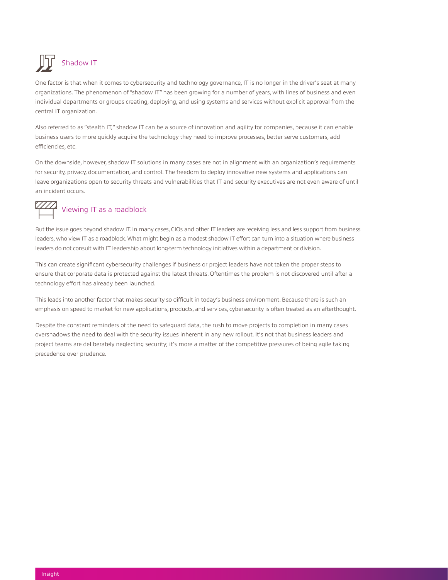## Shadow IT

One factor is that when it comes to cybersecurity and technology governance, IT is no longer in the driver's seat at many organizations. The phenomenon of "shadow IT" has been growing for a number of years, with lines of business and even individual departments or groups creating, deploying, and using systems and services without explicit approval from the central IT organization.

Also referred to as "stealth IT," shadow IT can be a source of innovation and agility for companies, because it can enable business users to more quickly acquire the technology they need to improve processes, better serve customers, add efficiencies, etc.

On the downside, however, shadow IT solutions in many cases are not in alignment with an organization's requirements for security, privacy, documentation, and control. The freedom to deploy innovative new systems and applications can leave organizations open to security threats and vulnerabilities that IT and security executives are not even aware of until an incident occurs.

## Viewing IT as a roadblock

But the issue goes beyond shadow IT. In many cases, CIOs and other IT leaders are receiving less and less support from business leaders, who view IT as a roadblock. What might begin as a modest shadow IT effort can turn into a situation where business leaders do not consult with IT leadership about long-term technology initiatives within a department or division.

This can create significant cybersecurity challenges if business or project leaders have not taken the proper steps to ensure that corporate data is protected against the latest threats. Oftentimes the problem is not discovered until after a technology effort has already been launched.

This leads into another factor that makes security so difficult in today's business environment. Because there is such an emphasis on speed to market for new applications, products, and services, cybersecurity is often treated as an afterthought.

Despite the constant reminders of the need to safeguard data, the rush to move projects to completion in many cases overshadows the need to deal with the security issues inherent in any new rollout. It's not that business leaders and project teams are deliberately neglecting security; it's more a matter of the competitive pressures of being agile taking precedence over prudence.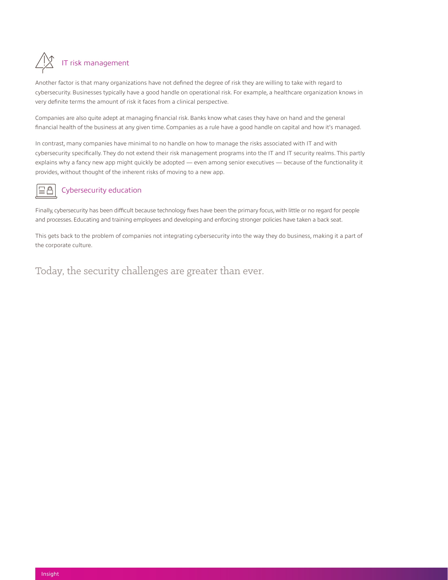# IT risk management

Another factor is that many organizations have not defined the degree of risk they are willing to take with regard to cybersecurity. Businesses typically have a good handle on operational risk. For example, a healthcare organization knows in very definite terms the amount of risk it faces from a clinical perspective.

Companies are also quite adept at managing financial risk. Banks know what cases they have on hand and the general financial health of the business at any given time. Companies as a rule have a good handle on capital and how it's managed.

In contrast, many companies have minimal to no handle on how to manage the risks associated with IT and with cybersecurity specifically. They do not extend their risk management programs into the IT and IT security realms. This partly explains why a fancy new app might quickly be adopted — even among senior executives — because of the functionality it provides, without thought of the inherent risks of moving to a new app.

## $\sqsubseteq \triangle$

#### Cybersecurity education

Finally, cybersecurity has been difficult because technology fixes have been the primary focus, with little or no regard for people and processes. Educating and training employees and developing and enforcing stronger policies have taken a back seat.

This gets back to the problem of companies not integrating cybersecurity into the way they do business, making it a part of the corporate culture.

Today, the security challenges are greater than ever.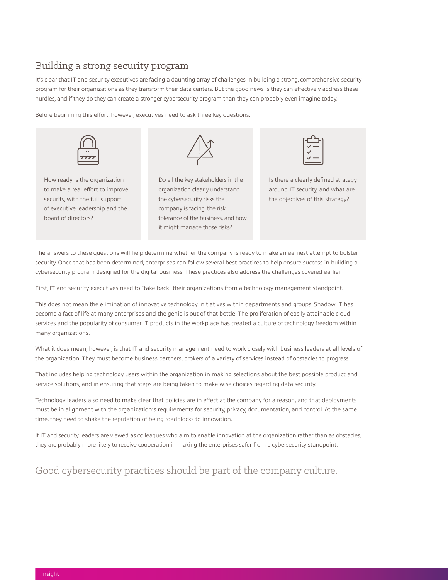### Building a strong security program

It's clear that IT and security executives are facing a daunting array of challenges in building a strong, comprehensive security program for their organizations as they transform their data centers. But the good news is they can effectively address these hurdles, and if they do they can create a stronger cybersecurity program than they can probably even imagine today.

Before beginning this effort, however, executives need to ask three key questions:



How ready is the organization to make a real effort to improve security, with the full support of executive leadership and the board of directors?



Do all the key stakeholders in the organization clearly understand the cybersecurity risks the company is facing, the risk tolerance of the business, and how it might manage those risks?



Is there a clearly defined strategy around IT security, and what are the objectives of this strategy?

The answers to these questions will help determine whether the company is ready to make an earnest attempt to bolster security. Once that has been determined, enterprises can follow several best practices to help ensure success in building a cybersecurity program designed for the digital business. These practices also address the challenges covered earlier.

First, IT and security executives need to "take back" their organizations from a technology management standpoint.

This does not mean the elimination of innovative technology initiatives within departments and groups. Shadow IT has become a fact of life at many enterprises and the genie is out of that bottle. The proliferation of easily attainable cloud services and the popularity of consumer IT products in the workplace has created a culture of technology freedom within many organizations.

What it does mean, however, is that IT and security management need to work closely with business leaders at all levels of the organization. They must become business partners, brokers of a variety of services instead of obstacles to progress.

That includes helping technology users within the organization in making selections about the best possible product and service solutions, and in ensuring that steps are being taken to make wise choices regarding data security.

Technology leaders also need to make clear that policies are in effect at the company for a reason, and that deployments must be in alignment with the organization's requirements for security, privacy, documentation, and control. At the same time, they need to shake the reputation of being roadblocks to innovation.

If IT and security leaders are viewed as colleagues who aim to enable innovation at the organization rather than as obstacles, they are probably more likely to receive cooperation in making the enterprises safer from a cybersecurity standpoint.

## Good cybersecurity practices should be part of the company culture.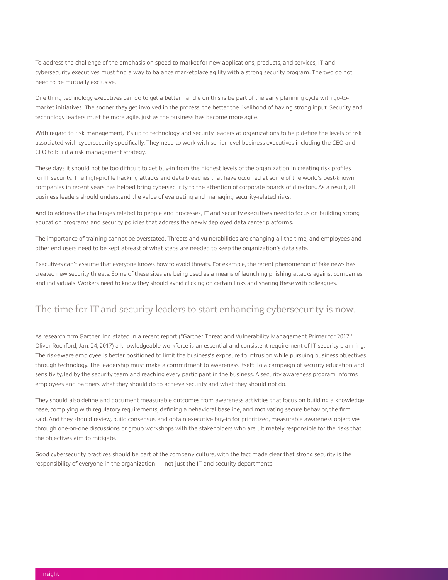To address the challenge of the emphasis on speed to market for new applications, products, and services, IT and cybersecurity executives must find a way to balance marketplace agility with a strong security program. The two do not need to be mutually exclusive.

One thing technology executives can do to get a better handle on this is be part of the early planning cycle with go-tomarket initiatives. The sooner they get involved in the process, the better the likelihood of having strong input. Security and technology leaders must be more agile, just as the business has become more agile.

With regard to risk management, it's up to technology and security leaders at organizations to help define the levels of risk associated with cybersecurity specifically. They need to work with senior-level business executives including the CEO and CFO to build a risk management strategy.

These days it should not be too difficult to get buy-in from the highest levels of the organization in creating risk profiles for IT security. The high-profile hacking attacks and data breaches that have occurred at some of the world's best-known companies in recent years has helped bring cybersecurity to the attention of corporate boards of directors. As a result, all business leaders should understand the value of evaluating and managing security-related risks.

And to address the challenges related to people and processes, IT and security executives need to focus on building strong education programs and security policies that address the newly deployed data center platforms.

The importance of training cannot be overstated. Threats and vulnerabilities are changing all the time, and employees and other end users need to be kept abreast of what steps are needed to keep the organization's data safe.

Executives can't assume that everyone knows how to avoid threats. For example, the recent phenomenon of fake news has created new security threats. Some of these sites are being used as a means of launching phishing attacks against companies and individuals. Workers need to know they should avoid clicking on certain links and sharing these with colleagues.

### The time for IT and security leaders to start enhancing cybersecurity is now.

As research firm Gartner, Inc. stated in a recent report ("Gartner Threat and Vulnerability Management Primer for 2017," Oliver Rochford, Jan. 24, 2017) a knowledgeable workforce is an essential and consistent requirement of IT security planning. The risk-aware employee is better positioned to limit the business's exposure to intrusion while pursuing business objectives through technology. The leadership must make a commitment to awareness itself: To a campaign of security education and sensitivity, led by the security team and reaching every participant in the business. A security awareness program informs employees and partners what they should do to achieve security and what they should not do.

They should also define and document measurable outcomes from awareness activities that focus on building a knowledge base, complying with regulatory requirements, defining a behavioral baseline, and motivating secure behavior, the firm said. And they should review, build consensus and obtain executive buy-in for prioritized, measurable awareness objectives through one-on-one discussions or group workshops with the stakeholders who are ultimately responsible for the risks that the objectives aim to mitigate.

Good cybersecurity practices should be part of the company culture, with the fact made clear that strong security is the responsibility of everyone in the organization — not just the IT and security departments.